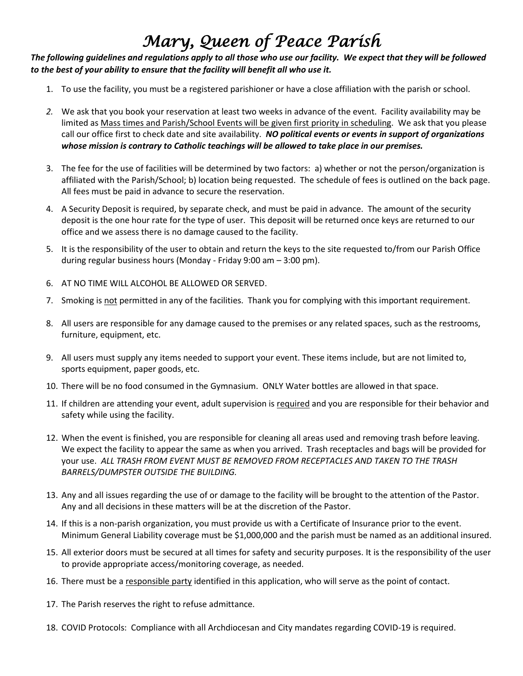### *Mary, Queen of Peace Parish*

#### *The following guidelines and regulations apply to all those who use our facility. We expect that they will be followed to the best of your ability to ensure that the facility will benefit all who use it.*

- 1. To use the facility, you must be a registered parishioner or have a close affiliation with the parish or school.
- *2.* We ask that you book your reservation at least two weeks in advance of the event. Facility availability may be limited as Mass times and Parish/School Events will be given first priority in scheduling. We ask that you please call our office first to check date and site availability. *NO political events or events in support of organizations whose mission is contrary to Catholic teachings will be allowed to take place in our premises.*
- 3. The fee for the use of facilities will be determined by two factors: a) whether or not the person/organization is affiliated with the Parish/School; b) location being requested. The schedule of fees is outlined on the back page. All fees must be paid in advance to secure the reservation.
- 4. A Security Deposit is required, by separate check, and must be paid in advance. The amount of the security deposit is the one hour rate for the type of user. This deposit will be returned once keys are returned to our office and we assess there is no damage caused to the facility.
- 5. It is the responsibility of the user to obtain and return the keys to the site requested to/from our Parish Office during regular business hours (Monday - Friday 9:00 am – 3:00 pm).
- 6. AT NO TIME WILL ALCOHOL BE ALLOWED OR SERVED.
- 7. Smoking is not permitted in any of the facilities. Thank you for complying with this important requirement.
- 8. All users are responsible for any damage caused to the premises or any related spaces, such as the restrooms, furniture, equipment, etc.
- 9. All users must supply any items needed to support your event. These items include, but are not limited to, sports equipment, paper goods, etc.
- 10. There will be no food consumed in the Gymnasium. ONLY Water bottles are allowed in that space.
- 11. If children are attending your event, adult supervision is required and you are responsible for their behavior and safety while using the facility.
- 12. When the event is finished, you are responsible for cleaning all areas used and removing trash before leaving. We expect the facility to appear the same as when you arrived. Trash receptacles and bags will be provided for your use. *ALL TRASH FROM EVENT MUST BE REMOVED FROM RECEPTACLES AND TAKEN TO THE TRASH BARRELS/DUMPSTER OUTSIDE THE BUILDING.*
- 13. Any and all issues regarding the use of or damage to the facility will be brought to the attention of the Pastor. Any and all decisions in these matters will be at the discretion of the Pastor.
- 14. If this is a non-parish organization, you must provide us with a Certificate of Insurance prior to the event. Minimum General Liability coverage must be \$1,000,000 and the parish must be named as an additional insured.
- 15. All exterior doors must be secured at all times for safety and security purposes. It is the responsibility of the user to provide appropriate access/monitoring coverage, as needed.
- 16. There must be a responsible party identified in this application, who will serve as the point of contact.
- 17. The Parish reserves the right to refuse admittance.
- 18. COVID Protocols: Compliance with all Archdiocesan and City mandates regarding COVID-19 is required.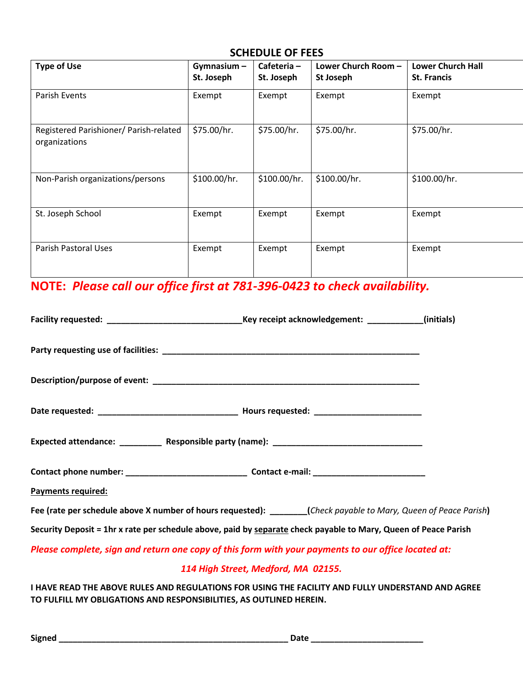#### **SCHEDULE OF FEES**

| <b>Type of Use</b>                                      | Gymnasium-<br>St. Joseph | Cafeteria-<br>St. Joseph | Lower Church Room -<br>St Joseph | <b>Lower Church Hall</b><br><b>St. Francis</b> |
|---------------------------------------------------------|--------------------------|--------------------------|----------------------------------|------------------------------------------------|
| Parish Events                                           | Exempt                   | Exempt                   | Exempt                           | Exempt                                         |
| Registered Parishioner/ Parish-related<br>organizations | \$75.00/hr.              | \$75.00/hr.              | \$75.00/hr.                      | \$75.00/hr.                                    |
| Non-Parish organizations/persons                        | \$100.00/hr.             | \$100.00/hr.             | \$100.00/hr.                     | \$100.00/hr.                                   |
| St. Joseph School                                       | Exempt                   | Exempt                   | Exempt                           | Exempt                                         |
| Parish Pastoral Uses                                    | Exempt                   | Exempt                   | Exempt                           | Exempt                                         |

# **NOTE:** *Please call our office first at 781-396-0423 to check availability.*

| Facility requested: __________________________________Key receipt acknowledgement: ____________(initials)       |                                     |  |
|-----------------------------------------------------------------------------------------------------------------|-------------------------------------|--|
|                                                                                                                 |                                     |  |
|                                                                                                                 |                                     |  |
|                                                                                                                 |                                     |  |
|                                                                                                                 |                                     |  |
| Contact phone number: ___________________________________Contact e-mail: __________________________             |                                     |  |
| Payments required:                                                                                              |                                     |  |
| Fee (rate per schedule above X number of hours requested): ______(Check payable to Mary, Queen of Peace Parish) |                                     |  |
| Security Deposit = 1hr x rate per schedule above, paid by separate check payable to Mary, Queen of Peace Parish |                                     |  |
| Please complete, sign and return one copy of this form with your payments to our office located at:             |                                     |  |
|                                                                                                                 | 114 High Street, Medford, MA 02155. |  |

**I HAVE READ THE ABOVE RULES AND REGULATIONS FOR USING THE FACILITY AND FULLY UNDERSTAND AND AGREE TO FULFILL MY OBLIGATIONS AND RESPONSIBILITIES, AS OUTLINED HEREIN.**